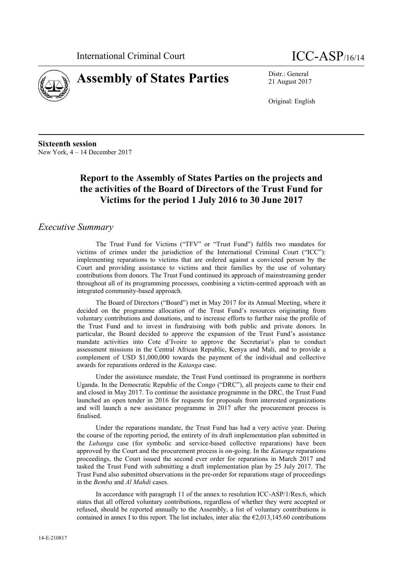



21 August 2017

Original: English

**Sixteenth session** New York, 4 – 14 December 2017

# **Report to the Assembly of States Parties on the projects and the activities of the Board of Directors of the Trust Fund for Victims for the period 1 July 2016 to 30 June 2017**

## *Executive Summary*

The Trust Fund for Victims ("TFV" or "Trust Fund") fulfils two mandates for victims of crimes under the jurisdiction of the International Criminal Court ("ICC"): implementing reparations to victims that are ordered against a convicted person by the Court and providing assistance to victims and their families by the use of voluntary contributions from donors. The Trust Fund continued its approach of mainstreaming gender throughout all of its programming processes, combining a victim-centred approach with an integrated community-based approach.

The Board of Directors ("Board") met in May 2017 for its Annual Meeting, where it decided on the programme allocation of the Trust Fund's resources originating from voluntary contributions and donations, and to increase efforts to further raise the profile of the Trust Fund and to invest in fundraising with both public and private donors. In particular, the Board decided to approve the expansion of the Trust Fund's assistance mandate activities into Cote d'Ivoire to approve the Secretariat's plan to conduct assessment missions in the Central African Republic, Kenya and Mali, and to provide a complement of USD \$1,000,000 towards the payment of the individual and collective awards for reparations ordered in the *Katanga* case.

Under the assistance mandate, the Trust Fund continued its programme in northern Uganda. In the Democratic Republic of the Congo ("DRC"), all projects came to their end and closed in May 2017. To continue the assistance programme in the DRC, the Trust Fund launched an open tender in 2016 for requests for proposals from interested organizations and will launch a new assistance programme in 2017 after the procurement process is finalised.

Under the reparations mandate, the Trust Fund has had a very active year. During the course of the reporting period, the entirety of its draft implementation plan submitted in the *Lubanga* case (for symbolic and service-based collective reparations) have been approved by the Court and the procurement process is on-going. In the *Katanga* reparations proceedings, the Court issued the second ever order for reparations in March 2017 and tasked the Trust Fund with submitting a draft implementation plan by 25 July 2017. The Trust Fund also submitted observations in the pre-order for reparations stage of proceedings in the *Bemba* and *Al Mahdi* cases.

In accordance with paragraph 11 of the annex to resolution ICC-ASP/1/Res.6, which states that all offered voluntary contributions, regardless of whether they were accepted or refused, should be reported annually to the Assembly, a list of voluntary contributions is contained in annex I to this report. The list includes, inter alia: the  $\epsilon$ 2,013,145.60 contributions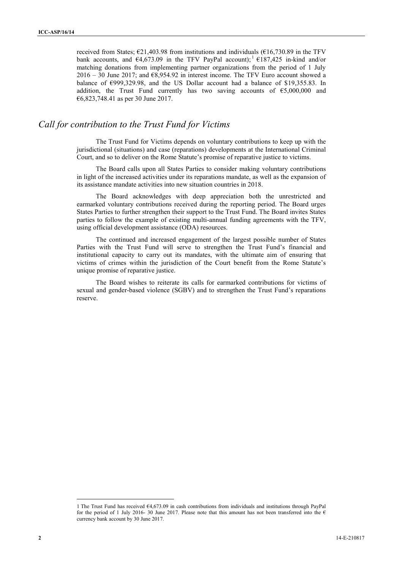received from States;  $\epsilon$ 21,403.98 from institutions and individuals ( $\epsilon$ 16,730.89 in the TFV bank accounts, and  $\epsilon$ 4,673.09 in the TFV PayPal account);  $\epsilon$  187,425 in-kind and/or matching donations from implementing partner organizations from the period of 1 July  $2016 - 30$  June 2017; and  $68,954.92$  in interest income. The TFV Euro account showed a balance of  $\epsilon$ 999,329.98, and the US Dollar account had a balance of \$19,355.83. In addition, the Trust Fund currently has two saving accounts of  $65,000,000$  and €6,823,748.41 as per 30 June 2017.

## *Call for contribution to the Trust Fund for Victims*

The Trust Fund for Victims depends on voluntary contributions to keep up with the jurisdictional (situations) and case (reparations) developments at the International Criminal Court, and so to deliver on the Rome Statute's promise of reparative justice to victims.

The Board calls upon all States Parties to consider making voluntary contributions in light of the increased activities under its reparations mandate, as well as the expansion of its assistance mandate activities into new situation countries in 2018.

The Board acknowledges with deep appreciation both the unrestricted and earmarked voluntary contributions received during the reporting period. The Board urges States Parties to further strengthen their support to the Trust Fund. The Board invites States parties to follow the example of existing multi-annual funding agreements with the TFV, using official development assistance (ODA) resources.

The continued and increased engagement of the largest possible number of States Parties with the Trust Fund will serve to strengthen the Trust Fund's financial and institutional capacity to carry out its mandates, with the ultimate aim of ensuring that victims of crimes within the jurisdiction of the Court benefit from the Rome Statute's unique promise of reparative justice.

The Board wishes to reiterate its calls for earmarked contributions for victims of sexual and gender-based violence (SGBV) and to strengthen the Trust Fund's reparations reserve.

<sup>1</sup> The Trust Fund has received  $\epsilon$ 4,673.09 in cash contributions from individuals and institutions through PayPal for the period of 1 July 2016- 30 June 2017. Please note that this amount has not been transferred into the  $\epsilon$ currency bank account by 30 June 2017.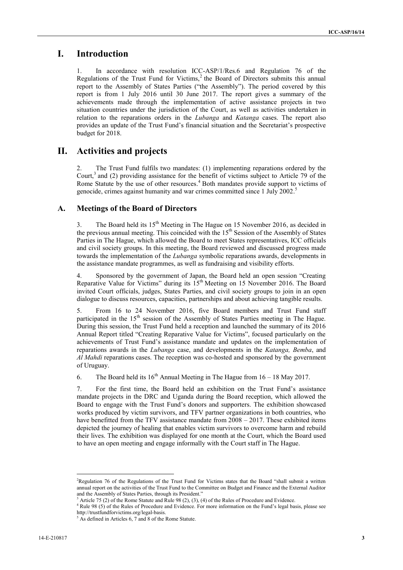## **I. Introduction**

1. In accordance with resolution ICC-ASP/1/Res.6 and Regulation 76 of the Regulations of the Trust Fund for Victims, $<sup>2</sup>$  the Board of Directors submits this annual</sup> report to the Assembly of States Parties ("the Assembly"). The period covered by this report is from 1 July 2016 until 30 June 2017. The report gives a summary of the achievements made through the implementation of active assistance projects in two situation countries under the jurisdiction of the Court, as well as activities undertaken in relation to the reparations orders in the *Lubanga* and *Katanga* cases. The report also provides an update of the Trust Fund's financial situation and the Secretariat's prospective budget for 2018.

## **II. Activities and projects**

2. The Trust Fund fulfils two mandates: (1) implementing reparations ordered by the Court,<sup>3</sup> and (2) providing assistance for the benefit of victims subject to Article 79 of the Rome Statute by the use of other resources.<sup>4</sup> Both mandates provide support to victims of genocide, crimes against humanity and war crimes committed since 1 July 2002.<sup>5</sup>

## **A. Meetings of the Board of Directors**

3. The Board held its  $15<sup>th</sup>$  Meeting in The Hague on 15 November 2016, as decided in the previous annual meeting. This coincided with the 15<sup>th</sup> Session of the Assembly of States Parties in The Hague, which allowed the Board to meet States representatives, ICC officials and civil society groups. In this meeting, the Board reviewed and discussed progress made towards the implementation of the *Lubanga* symbolic reparations awards, developments in the assistance mandate programmes, as well as fundraising and visibility efforts.

4. Sponsored by the government of Japan, the Board held an open session "Creating Reparative Value for Victims" during its  $15<sup>th</sup>$  Meeting on 15 November 2016. The Board invited Court officials, judges, States Parties, and civil society groups to join in an open dialogue to discuss resources, capacities, partnerships and about achieving tangible results.

5. From 16 to 24 November 2016, five Board members and Trust Fund staff participated in the 15<sup>th</sup> session of the Assembly of States Parties meeting in The Hague. During this session, the Trust Fund held a reception and launched the summary of its 2016 Annual Report titled "Creating Reparative Value for Victims", focused particularly on the achievements of Trust Fund's assistance mandate and updates on the implementation of reparations awards in the *Lubanga* case, and developments in the *Katanga, Bemba*, and *Al Mahdi* reparations cases. The reception was co-hosted and sponsored by the government of Uruguay.

6. The Board held its  $16<sup>th</sup>$  Annual Meeting in The Hague from  $16 - 18$  May 2017.

7. For the first time, the Board held an exhibition on the Trust Fund's assistance mandate projects in the DRC and Uganda during the Board reception, which allowed the Board to engage with the Trust Fund's donors and supporters. The exhibition showcased works produced by victim survivors, and TFV partner organizations in both countries, who have benefitted from the TFV assistance mandate from 2008 – 2017. These exhibited items depicted the journey of healing that enables victim survivors to overcome harm and rebuild their lives. The exhibition was displayed for one month at the Court, which the Board used to have an open meeting and engage informally with the Court staff in The Hague.

<sup>&</sup>lt;sup>2</sup>Regulation 76 of the Regulations of the Trust Fund for Victims states that the Board "shall submit a written annual report on the activities of the Trust Fund to the Committee on Budget and Finance and the External Auditor and the Assembly of States Parties, through its President."

Article 75 (2) of the Rome Statute and Rule 98 (2), (3), (4) of the Rules of Procedure and Evidence.

 $4$  Rule 98 (5) of the Rules of Procedure and Evidence. For more information on the Fund's legal basis, please see http://trustfundforvictims.org/legal-basis.

As defined in Articles 6, 7 and 8 of the Rome Statute.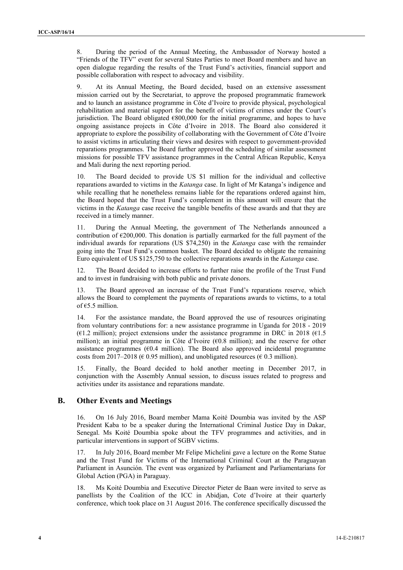8. During the period of the Annual Meeting, the Ambassador of Norway hosted a "Friends of the TFV" event for several States Parties to meet Board members and have an open dialogue regarding the results of the Trust Fund's activities, financial support and possible collaboration with respect to advocacy and visibility.

9. At its Annual Meeting, the Board decided, based on an extensive assessment mission carried out by the Secretariat, to approve the proposed programmatic framework and to launch an assistance programme in Côte d'Ivoire to provide physical, psychological rehabilitation and material support for the benefit of victims of crimes under the Court's jurisdiction. The Board obligated  $\epsilon$ 800,000 for the initial programme, and hopes to have ongoing assistance projects in Côte d'Ivoire in 2018. The Board also considered it appropriate to explore the possibility of collaborating with the Government of Côte d'Ivoire to assist victims in articulating their views and desires with respect to government-provided reparations programmes. The Board further approved the scheduling of similar assessment missions for possible TFV assistance programmes in the Central African Republic, Kenya and Mali during the next reporting period.

10. The Board decided to provide US \$1 million for the individual and collective reparations awarded to victims in the *Katanga* case. In light of Mr Katanga's indigence and while recalling that he nonetheless remains liable for the reparations ordered against him, the Board hoped that the Trust Fund's complement in this amount will ensure that the victims in the *Katanga* case receive the tangible benefits of these awards and that they are received in a timely manner.

During the Annual Meeting, the government of The Netherlands announced a contribution of  $\epsilon$ 200,000. This donation is partially earmarked for the full payment of the individual awards for reparations (US \$74,250) in the *Katanga* case with the remainder going into the Trust Fund's common basket. The Board decided to obligate the remaining Euro equivalent of US \$125,750 to the collective reparations awards in the *Katanga* case.

12. The Board decided to increase efforts to further raise the profile of the Trust Fund and to invest in fundraising with both public and private donors.

13. The Board approved an increase of the Trust Fund's reparations reserve, which allows the Board to complement the payments of reparations awards to victims, to a total of €5.5 million.

14. For the assistance mandate, the Board approved the use of resources originating from voluntary contributions for: a new assistance programme in Uganda for 2018 - 2019 ( $\epsilon$ 1.2 million); project extensions under the assistance programme in DRC in 2018 ( $\epsilon$ 1.5 million); an initial programme in Côte d'Ivoire (€0.8 million); and the reserve for other assistance programmes ( $\epsilon$ 0.4 million). The Board also approved incidental programme costs from 2017–2018 ( $\epsilon$  0.95 million), and unobligated resources ( $\epsilon$  0.3 million).

15. Finally, the Board decided to hold another meeting in December 2017, in conjunction with the Assembly Annual session, to discuss issues related to progress and activities under its assistance and reparations mandate.

## **B. Other Events and Meetings**

16. On 16 July 2016, Board member Mama Koité Doumbia was invited by the ASP President Kaba to be a speaker during the International Criminal Justice Day in Dakar, Senegal. Ms Koité Doumbia spoke about the TFV programmes and activities, and in particular interventions in support of SGBV victims.<br>17. In July 2016, Board member Mr Felipe Michelini gave a lecture on the Rome Statue

and the Trust Fund for Victims of the International Criminal Court at the Paraguayan Parliament in Asunción. The event was organized by Parliament and Parliamentarians for Global Action (PGA) in Paraguay.

18. Ms Koité Doumbia and Executive Director Pieter de Baan were invited to serve as panellists by the Coalition of the ICC in Abidjan, Cote d'Ivoire at their quarterly conference, which took place on 31 August 2016. The conference specifically discussed the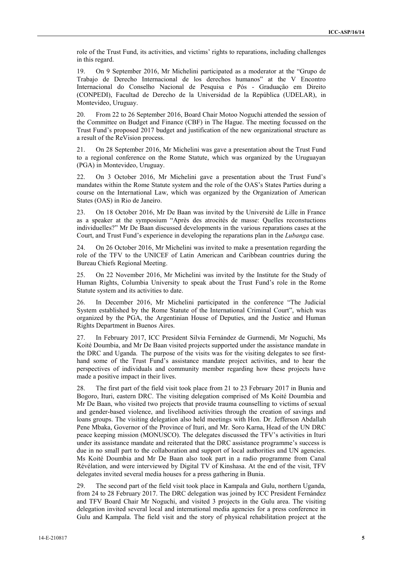role of the Trust Fund, its activities, and victims' rights to reparations, including challenges in this regard.

19. On 9 September 2016, Mr Michelini participated as a moderator at the "Grupo de Trabajo de Derecho Internacional de los derechos humanos" at the V Encontro Internacional do Conselho Nacional de Pesquisa e Pós - Graduação em Direito (CONPEDI), Facultad de Derecho de la Universidad de la República (UDELAR), in Montevideo, Uruguay.

20. From 22 to 26 September 2016, Board Chair Motoo Noguchi attended the session of the Committee on Budget and Finance (CBF) in The Hague. The meeting focussed on the Trust Fund's proposed 2017 budget and justification of the new organizational structure as a result of the ReVision process.

21. On 28 September 2016, Mr Michelini was gave a presentation about the Trust Fund to a regional conference on the Rome Statute, which was organized by the Uruguayan (PGA) in Montevideo, Uruguay.

22. On 3 October 2016, Mr Michelini gave a presentation about the Trust Fund's mandates within the Rome Statute system and the role of the OAS's States Parties during a course on the International Law, which was organized by the Organization of American States (OAS) in Rio de Janeiro.

23. On 18 October 2016, Mr De Baan was invited by the Université de Lille in France as a speaker at the symposium "Après des atrocités de masse: Quelles reconstuctions individuelles?" Mr De Baan discussed developments in the various reparations cases at the Court, and Trust Fund's experience in developing the reparations plan in the *Lubanga* case.

24. On 26 October 2016, Mr Michelini was invited to make a presentation regarding the role of the TFV to the UNICEF of Latin American and Caribbean countries during the Bureau Chiefs Regional Meeting.

25. On 22 November 2016, Mr Michelini was invited by the Institute for the Study of Human Rights, Columbia University to speak about the Trust Fund's role in the Rome Statute system and its activities to date.

26. In December 2016, Mr Michelini participated in the conference "The Judicial System established by the Rome Statute of the International Criminal Court", which was organized by the PGA, the Argentinian House of Deputies, and the Justice and Human Rights Department in Buenos Aires.

27. In February 2017, ICC President Silvia Fernández de Gurmendi, Mr Noguchi, Ms Koité Doumbia, and Mr De Baan visited projects supported under the assistance mandate in the DRC and Uganda. The purpose of the visits was for the visiting delegates to see first hand some of the Trust Fund's assistance mandate project activities, and to hear the perspectives of individuals and community member regarding how these projects have made a positive impact in their lives.

28. The first part of the field visit took place from 21 to 23 February 2017 in Bunia and Bogoro, Ituri, eastern DRC. The visiting delegation comprised of Ms Koité Doumbia and Mr De Baan, who visited two projects that provide trauma counselling to victims of sexual and gender-based violence, and livelihood activities through the creation of savings and loans groups. The visiting delegation also held meetings with Hon. Dr. Jefferson Abdallah Pene Mbaka, Governor of the Province of Ituri, and Mr. Soro Karna, Head of the UN DRC peace keeping mission (MONUSCO). The delegates discussed the TFV's activities in Ituri under its assistance mandate and reiterated that the DRC assistance programme's success is due in no small part to the collaboration and support of local authorities and UN agencies. Ms Koité Doumbia and Mr De Baan also took part in a radio programme from Canal Révélation, and were interviewed by Digital TV of Kinshasa. At the end of the visit, TFV delegates invited several media houses for a press gathering in Bunia.

29. The second part of the field visit took place in Kampala and Gulu, northern Uganda, from 24 to 28 February 2017. The DRC delegation was joined by ICC President Fernández and TFV Board Chair Mr Noguchi, and visited 3 projects in the Gulu area. The visiting delegation invited several local and international media agencies for a press conference in Gulu and Kampala. The field visit and the story of physical rehabilitation project at the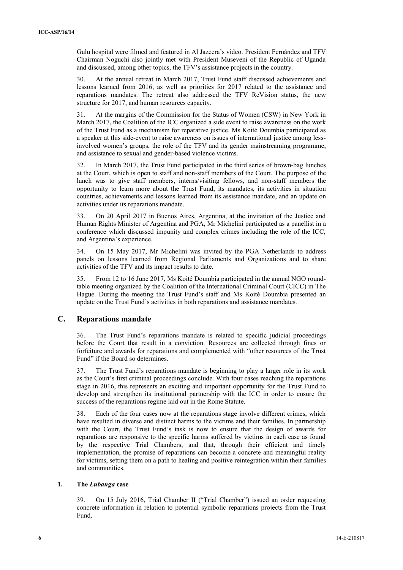Gulu hospital were filmed and featured in Al Jazeera's video. President Fernández and TFV Chairman Noguchi also jointly met with President Museveni of the Republic of Uganda and discussed, among other topics, the TFV's assistance projects in the country.

30. At the annual retreat in March 2017, Trust Fund staff discussed achievements and lessons learned from 2016, as well as priorities for 2017 related to the assistance and reparations mandates. The retreat also addressed the TFV ReVision status, the new structure for 2017, and human resources capacity.

31. At the margins of the Commission for the Status of Women (CSW) in New York in March 2017, the Coalition of the ICC organized a side event to raise awareness on the work of the Trust Fund as a mechanism for reparative justice. Ms Koité Doumbia participated as a speaker at this side-event to raise awareness on issues of international justice among lessinvolved women's groups, the role of the TFV and its gender mainstreaming programme, and assistance to sexual and gender-based violence victims.

32. In March 2017, the Trust Fund participated in the third series of brown-bag lunches at the Court, which is open to staff and non-staff members of the Court. The purpose of the lunch was to give staff members, interns/visiting fellows, and non-staff members the opportunity to learn more about the Trust Fund, its mandates, its activities in situation countries, achievements and lessons learned from its assistance mandate, and an update on activities under its reparations mandate.

33. On 20 April 2017 in Buenos Aires, Argentina, at the invitation of the Justice and Human Rights Minister of Argentina and PGA, Mr Michelini participated as a panellist in a conference which discussed impunity and complex crimes including the role of the ICC, and Argentina's experience.

34. On 15 May 2017, Mr Michelini was invited by the PGA Netherlands to address panels on lessons learned from Regional Parliaments and Organizations and to share activities of the TFV and its impact results to date.

35. From 12 to 16 June 2017, Ms Koité Doumbia participated in the annual NGO roundtable meeting organized by the Coalition of the International Criminal Court (CICC) in The Hague. During the meeting the Trust Fund's staff and Ms Koité Doumbia presented an update on the Trust Fund's activities in both reparations and assistance mandates.

## **C. Reparations mandate**

36. The Trust Fund's reparations mandate is related to specific judicial proceedings before the Court that result in a conviction. Resources are collected through fines or forfeiture and awards for reparations and complemented with "other resources of the Trust Fund" if the Board so determines.

37. The Trust Fund's reparations mandate is beginning to play a larger role in its work as the Court's first criminal proceedings conclude. With four cases reaching the reparations stage in 2016, this represents an exciting and important opportunity for the Trust Fund to develop and strengthen its institutional partnership with the ICC in order to ensure the success of the reparations regime laid out in the Rome Statute.

38. Each of the four cases now at the reparations stage involve different crimes, which have resulted in diverse and distinct harms to the victims and their families. In partnership with the Court, the Trust Fund's task is now to ensure that the design of awards for reparations are responsive to the specific harms suffered by victims in each case as found by the respective Trial Chambers, and that, through their efficient and timely implementation, the promise of reparations can become a concrete and meaningful reality for victims, setting them on a path to healing and positive reintegration within their families and communities.

#### **1. The** *Lubanga* **case**

39. On 15 July 2016, Trial Chamber II ("Trial Chamber") issued an order requesting concrete information in relation to potential symbolic reparations projects from the Trust Fund.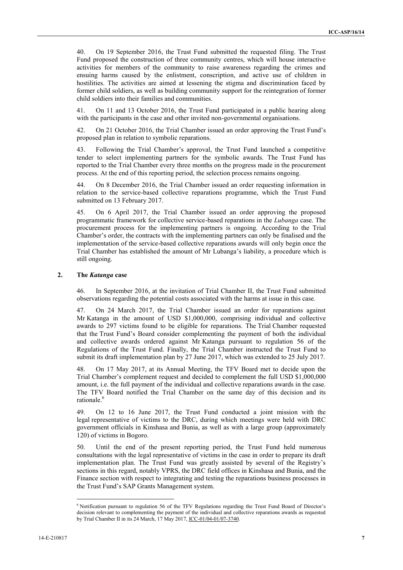40. On 19 September 2016, the Trust Fund submitted the requested filing. The Trust Fund proposed the construction of three community centres, which will house interactive activities for members of the community to raise awareness regarding the crimes and ensuing harms caused by the enlistment, conscription, and active use of children in hostilities. The activities are aimed at lessening the stigma and discrimination faced by former child soldiers, as well as building community support for the reintegration of former child soldiers into their families and communities.

41. On 11 and 13 October 2016, the Trust Fund participated in a public hearing along with the participants in the case and other invited non-governmental organisations.

42. On 21 October 2016, the Trial Chamber issued an order approving the Trust Fund's proposed plan in relation to symbolic reparations.

43. Following the Trial Chamber's approval, the Trust Fund launched a competitive tender to select implementing partners for the symbolic awards. The Trust Fund has reported to the Trial Chamber every three months on the progress made in the procurement process. At the end of this reporting period, the selection process remains ongoing.

44. On 8 December 2016, the Trial Chamber issued an order requesting information in relation to the service-based collective reparations programme, which the Trust Fund submitted on 13 February 2017.

45. On 6 April 2017, the Trial Chamber issued an order approving the proposed programmatic framework for collective service-based reparations in the *Lubanga* case. The procurement process for the implementing partners is ongoing. According to the Trial Chamber's order, the contracts with the implementing partners can only be finalised and the implementation of the service-based collective reparations awards will only begin once the Trial Chamber has established the amount of Mr Lubanga's liability, a procedure which is still ongoing.

#### **2. The** *Katanga* **case**

46. In September 2016, at the invitation of Trial Chamber II, the Trust Fund submitted observations regarding the potential costs associated with the harms at issue in this case.

47. On 24 March 2017, the Trial Chamber issued an order for reparations against Mr Katanga in the amount of USD \$1,000,000, comprising individual and collective awards to 297 victims found to be eligible for reparations. The Trial Chamber requested that the Trust Fund's Board consider complementing the payment of both the individual and collective awards ordered against Mr Katanga pursuant to regulation 56 of the Regulations of the Trust Fund. Finally, the Trial Chamber instructed the Trust Fund to submit its draft implementation plan by 27 June 2017, which was extended to 25 July 2017.

48. On 17 May 2017, at its Annual Meeting, the TFV Board met to decide upon the Trial Chamber's complement request and decided to complement the full USD \$1,000,000 amount, i.e. the full payment of the individual and collective reparations awards in the case. The TFV Board notified the Trial Chamber on the same day of this decision and its rationale.<sup>6</sup>

49. On 12 to 16 June 2017, the Trust Fund conducted a joint mission with the legal representative of victims to the DRC, during which meetings were held with DRC government officials in Kinshasa and Bunia, as well as with a large group (approximately 120) of victims in Bogoro.

50. Until the end of the present reporting period, the Trust Fund held numerous consultations with the legal representative of victims in the case in order to prepare its draft implementation plan. The Trust Fund was greatly assisted by several of the Registry's sections in this regard, notably VPRS, the DRC field offices in Kinshasa and Bunia, and the Finance section with respect to integrating and testing the reparations business processes in the Trust Fund's SAP Grants Management system.

<sup>&</sup>lt;sup>6</sup> Notification pursuant to regulation 56 of the TFV Regulations regarding the Trust Fund Board of Director's decision relevant to complementing the payment of the individual and collective reparations awards as requested by Trial Chamber II in its 24 March, 17 May 2017, ICC-01/04-01/07-3740.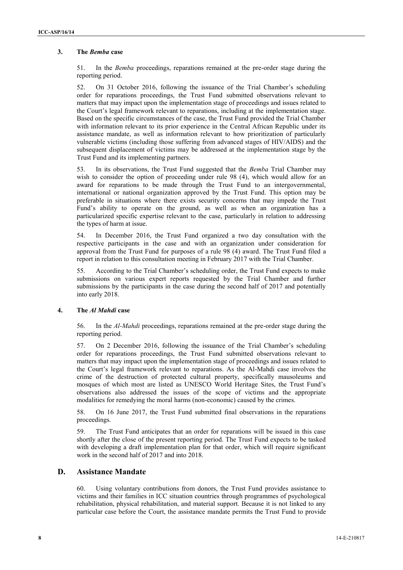## **3. The** *Bemba* **case**

51. In the *Bemba* proceedings, reparations remained at the pre-order stage during the reporting period.

52. On 31 October 2016, following the issuance of the Trial Chamber's scheduling order for reparations proceedings, the Trust Fund submitted observations relevant to matters that may impact upon the implementation stage of proceedings and issues related to the Court's legal framework relevant to reparations, including at the implementation stage. Based on the specific circumstances of the case, the Trust Fund provided the Trial Chamber with information relevant to its prior experience in the Central African Republic under its assistance mandate, as well as information relevant to how prioritization of particularly vulnerable victims (including those suffering from advanced stages of HIV/AIDS) and the subsequent displacement of victims may be addressed at the implementation stage by the Trust Fund and its implementing partners.

53. In its observations, the Trust Fund suggested that the *Bemba* Trial Chamber may wish to consider the option of proceeding under rule 98 (4), which would allow for an award for reparations to be made through the Trust Fund to an intergovernmental, international or national organization approved by the Trust Fund. This option may be preferable in situations where there exists security concerns that may impede the Trust Fund's ability to operate on the ground, as well as when an organization has a particularized specific expertise relevant to the case, particularly in relation to addressing the types of harm at issue.

54. In December 2016, the Trust Fund organized a two day consultation with the respective participants in the case and with an organization under consideration for approval from the Trust Fund for purposes of a rule 98 (4) award. The Trust Fund filed a report in relation to this consultation meeting in February 2017 with the Trial Chamber.

55. According to the Trial Chamber's scheduling order, the Trust Fund expects to make submissions on various expert reports requested by the Trial Chamber and further submissions by the participants in the case during the second half of 2017 and potentially into early 2018.

#### **4. The** *Al Mahdi* **case**

56. In the *Al-Mahdi* proceedings, reparations remained at the pre-order stage during the reporting period.

57. On 2 December 2016, following the issuance of the Trial Chamber's scheduling order for reparations proceedings, the Trust Fund submitted observations relevant to matters that may impact upon the implementation stage of proceedings and issues related to the Court's legal framework relevant to reparations. As the Al-Mahdi case involves the crime of the destruction of protected cultural property, specifically mausoleums and mosques of which most are listed as UNESCO World Heritage Sites, the Trust Fund's observations also addressed the issues of the scope of victims and the appropriate modalities for remedying the moral harms (non-economic) caused by the crimes.

58. On 16 June 2017, the Trust Fund submitted final observations in the reparations proceedings.

59. The Trust Fund anticipates that an order for reparations will be issued in this case shortly after the close of the present reporting period. The Trust Fund expects to be tasked with developing a draft implementation plan for that order, which will require significant work in the second half of 2017 and into 2018.

#### **D. Assistance Mandate**

60. Using voluntary contributions from donors, the Trust Fund provides assistance to victims and their families in ICC situation countries through programmes of psychological rehabilitation, physical rehabilitation, and material support. Because it is not linked to any particular case before the Court, the assistance mandate permits the Trust Fund to provide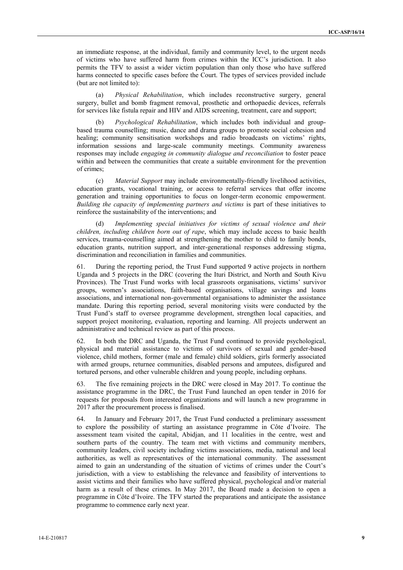an immediate response, at the individual, family and community level, to the urgent needs of victims who have suffered harm from crimes within the ICC's jurisdiction. It also permits the TFV to assist a wider victim population than only those who have suffered harms connected to specific cases before the Court. The types of services provided include (but are not limited to):

(a) *Physical Rehabilitation*, which includes reconstructive surgery, general surgery, bullet and bomb fragment removal, prosthetic and orthopaedic devices, referrals for services like fistula repair and HIV and AIDS screening, treatment, care and support;

(b) *Psychological Rehabilitation*, which includes both individual and group based trauma counselling; music, dance and drama groups to promote social cohesion and healing; community sensitisation workshops and radio broadcasts on victims' rights, information sessions and large-scale community meetings. Community awareness responses may include *engaging in community dialogue and reconciliation* to foster peace within and between the communities that create a suitable environment for the prevention of crimes;

(c) *Material Support* may include environmentally-friendly livelihood activities, education grants, vocational training, or access to referral services that offer income generation and training opportunities to focus on longer-term economic empowerment. *Building the capacity of implementing partners and victims* is part of these initiatives to reinforce the sustainability of the interventions; and

Implementing special initiatives for victims of sexual violence and their *children, including children born out of rape*, which may include access to basic health services, trauma-counselling aimed at strengthening the mother to child to family bonds, education grants, nutrition support, and inter-generational responses addressing stigma, discrimination and reconciliation in families and communities.

61. During the reporting period, the Trust Fund supported 9 active projects in northern Uganda and 5 projects in the DRC (covering the Ituri District, and North and South Kivu Provinces). The Trust Fund works with local grassroots organisations, victims' survivor groups, women's associations, faith-based organisations, village savings and loans associations, and international non-governmental organisations to administer the assistance mandate. During this reporting period, several monitoring visits were conducted by the Trust Fund's staff to oversee programme development, strengthen local capacities, and support project monitoring, evaluation, reporting and learning. All projects underwent an administrative and technical review as part of this process.

62. In both the DRC and Uganda, the Trust Fund continued to provide psychological, physical and material assistance to victims of survivors of sexual and gender-based violence, child mothers, former (male and female) child soldiers, girls formerly associated with armed groups, returnee communities, disabled persons and amputees, disfigured and tortured persons, and other vulnerable children and young people, including orphans.

63. The five remaining projects in the DRC were closed in May 2017. To continue the assistance programme in the DRC, the Trust Fund launched an open tender in 2016 for requests for proposals from interested organizations and will launch a new programme in 2017 after the procurement process is finalised.

64. In January and February 2017, the Trust Fund conducted a preliminary assessment to explore the possibility of starting an assistance programme in Côte d'Ivoire. The assessment team visited the capital, Abidjan, and 11 localities in the centre, west and southern parts of the country. The team met with victims and community members, community leaders, civil society including victims associations, media, national and local authorities, as well as representatives of the international community. The assessment aimed to gain an understanding of the situation of victims of crimes under the Court's jurisdiction, with a view to establishing the relevance and feasibility of interventions to assist victims and their families who have suffered physical, psychological and/or material harm as a result of these crimes. In May 2017, the Board made a decision to open a programme in Côte d'Ivoire. The TFV started the preparations and anticipate the assistance programme to commence early next year.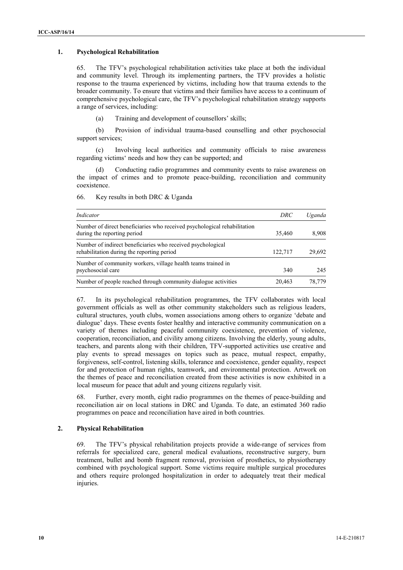#### **1. Psychological Rehabilitation**

65. The TFV's psychological rehabilitation activities take place at both the individual and community level. Through its implementing partners, the TFV provides a holistic response to the trauma experienced by victims, including how that trauma extends to the broader community. To ensure that victims and their families have access to a continuum of comprehensive psychological care, the TFV's psychological rehabilitation strategy supports a range of services, including:

(a) Training and development of counsellors' skills;

(b) Provision of individual trauma-based counselling and other psychosocial support services;

(c) Involving local authorities and community officials to raise awareness regarding victims' needs and how they can be supported; and

(d) Conducting radio programmes and community events to raise awareness on the impact of crimes and to promote peace-building, reconciliation and community coexistence.

| Indicator                                                                                                 | DRC     | Uganda |
|-----------------------------------------------------------------------------------------------------------|---------|--------|
| Number of direct beneficiaries who received psychological rehabilitation<br>during the reporting period   | 35.460  | 8,908  |
| Number of indirect beneficiaries who received psychological<br>rehabilitation during the reporting period | 122.717 | 29,692 |
| Number of community workers, village health teams trained in<br>psychosocial care                         | 340     | 245    |
| Number of people reached through community dialogue activities                                            | 20.463  | 78.779 |

66. Key results in both DRC & Uganda

67. In its psychological rehabilitation programmes, the TFV collaborates with local government officials as well as other community stakeholders such as religious leaders, cultural structures, youth clubs, women associations among others to organize 'debate and dialogue' days. These events foster healthy and interactive community communication on a variety of themes including peaceful community coexistence, prevention of violence, cooperation, reconciliation, and civility among citizens. Involving the elderly, young adults, teachers, and parents along with their children, TFV-supported activities use creative and play events to spread messages on topics such as peace, mutual respect, empathy, forgiveness, self-control, listening skills, tolerance and coexistence, gender equality, respect for and protection of human rights, teamwork, and environmental protection. Artwork on the themes of peace and reconciliation created from these activities is now exhibited in a local museum for peace that adult and young citizens regularly visit.

68. Further, every month, eight radio programmes on the themes of peace-building and reconciliation air on local stations in DRC and Uganda. To date, an estimated 360 radio programmes on peace and reconciliation have aired in both countries.

#### **2. Physical Rehabilitation**

69. The TFV's physical rehabilitation projects provide a wide-range of services from referrals for specialized care, general medical evaluations, reconstructive surgery, burn treatment, bullet and bomb fragment removal, provision of prosthetics, to physiotherapy combined with psychological support. Some victims require multiple surgical procedures and others require prolonged hospitalization in order to adequately treat their medical injuries.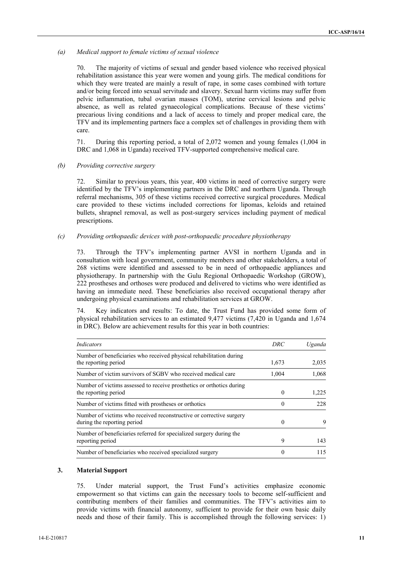#### *(a) Medical support to female victims of sexual violence*

70. The majority of victims of sexual and gender based violence who received physical rehabilitation assistance this year were women and young girls. The medical conditions for which they were treated are mainly a result of rape, in some cases combined with torture and/or being forced into sexual servitude and slavery. Sexual harm victims may suffer from pelvic inflammation, tubal ovarian masses (TOM), uterine cervical lesions and pelvic absence, as well as related gynaecological complications. Because of these victims' precarious living conditions and a lack of access to timely and proper medical care, the TFV and its implementing partners face a complex set of challenges in providing them with care.

71. During this reporting period, a total of 2,072 women and young females (1,004 in DRC and 1,068 in Uganda) received TFV-supported comprehensive medical care.

#### *(b) Providing corrective surgery*

72. Similar to previous years, this year, 400 victims in need of corrective surgery were identified by the TFV's implementing partners in the DRC and northern Uganda. Through referral mechanisms, 305 of these victims received corrective surgical procedures. Medical care provided to these victims included corrections for lipomas, keloids and retained bullets, shrapnel removal, as well as post-surgery services including payment of medical prescriptions.

#### *(c) Providing orthopaedic devices with post-orthopaedic procedure physiotherapy*

73. Through the TFV's implementing partner AVSI in northern Uganda and in consultation with local government, community members and other stakeholders, a total of 268 victims were identified and assessed to be in need of orthopaedic appliances and physiotherapy. In partnership with the Gulu Regional Orthopaedic Workshop (GROW), 222 prostheses and orthoses were produced and delivered to victims who were identified as having an immediate need. These beneficiaries also received occupational therapy after undergoing physical examinations and rehabilitation services at GROW.

74. Key indicators and results: To date, the Trust Fund has provided some form of physical rehabilitation services to an estimated 9,477 victims (7,420 in Uganda and 1,674 in DRC). Below are achievement results for this year in both countries:

| Indicators                                                                                         | DRC      | Uganda |
|----------------------------------------------------------------------------------------------------|----------|--------|
| Number of beneficiaries who received physical rehabilitation during<br>the reporting period        | 1,673    | 2,035  |
| Number of victim survivors of SGBV who received medical care                                       | 1.004    | 1,068  |
| Number of victims assessed to receive prosthetics or orthotics during<br>the reporting period      | $\Omega$ | 1,225  |
| Number of victims fitted with prostheses or orthotics                                              | $\theta$ | 228    |
| Number of victims who received reconstructive or corrective surgery<br>during the reporting period | $\Omega$ | 9      |
| Number of beneficiaries referred for specialized surgery during the<br>reporting period            | 9        | 143    |
| Number of beneficiaries who received specialized surgery                                           |          | 115    |

#### **3. Material Support**

75. Under material support, the Trust Fund's activities emphasize economic empowerment so that victims can gain the necessary tools to become self-sufficient and contributing members of their families and communities. The TFV's activities aim to provide victims with financial autonomy, sufficient to provide for their own basic daily needs and those of their family. This is accomplished through the following services: 1)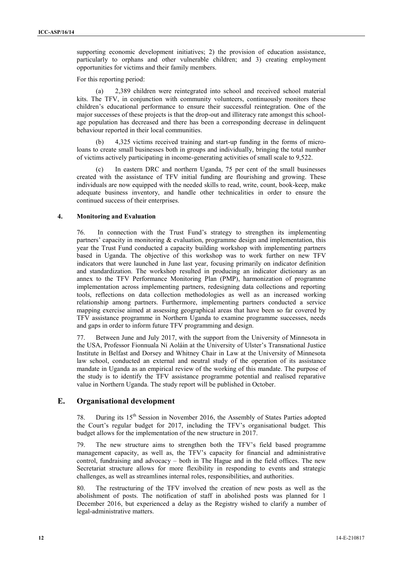supporting economic development initiatives; 2) the provision of education assistance, particularly to orphans and other vulnerable children; and 3) creating employment opportunities for victims and their family members.

For this reporting period:

(a) 2,389 children were reintegrated into school and received school material kits. The TFV, in conjunction with community volunteers, continuously monitors these children's educational performance to ensure their successful reintegration. One of the major successes of these projects is that the drop-out and illiteracy rate amongst this school age population has decreased and there has been a corresponding decrease in delinquent behaviour reported in their local communities.

(b) 4,325 victims received training and start-up funding in the forms of microloans to create small businesses both in groups and individually, bringing the total number of victims actively participating in income-generating activities of small scale to 9,522.

(c) In eastern DRC and northern Uganda, 75 per cent of the small businesses created with the assistance of TFV initial funding are flourishing and growing. These individuals are now equipped with the needed skills to read, write, count, book-keep, make adequate business inventory, and handle other technicalities in order to ensure the continued success of their enterprises.

#### **4. Monitoring and Evaluation**

76. In connection with the Trust Fund's strategy to strengthen its implementing partners' capacity in monitoring  $&$  evaluation, programme design and implementation, this year the Trust Fund conducted a capacity building workshop with implementing partners based in Uganda. The objective of this workshop was to work further on new TFV indicators that were launched in June last year, focusing primarily on indicator definition and standardization. The workshop resulted in producing an indicator dictionary as an annex to the TFV Performance Monitoring Plan (PMP), harmonization of programme implementation across implementing partners, redesigning data collections and reporting tools, reflections on data collection methodologies as well as an increased working relationship among partners. Furthermore, implementing partners conducted a service mapping exercise aimed at assessing geographical areas that have been so far covered by TFV assistance programme in Northern Uganda to examine programme successes, needs and gaps in order to inform future TFV programming and design.

77. Between June and July 2017, with the support from the University of Minnesota in the USA, Professor Fionnuala Ní Aoláin at the University of Ulster's Transnational Justice Institute in Belfast and Dorsey and Whitney Chair in Law at the University of Minnesota law school, conducted an external and neutral study of the operation of its assistance mandate in Uganda as an empirical review of the working of this mandate. The purpose of the study is to identify the TFV assistance programme potential and realised reparative value in Northern Uganda. The study report will be published in October.

## **E. Organisational development**

78. During its 15<sup>th</sup> Session in November 2016, the Assembly of States Parties adopted the Court's regular budget for 2017, including the TFV's organisational budget. This budget allows for the implementation of the new structure in 2017.

79. The new structure aims to strengthen both the TFV's field based programme management capacity, as well as, the TFV's capacity for financial and administrative control, fundraising and advocacy – both in The Hague and in the field offices. The new Secretariat structure allows for more flexibility in responding to events and strategic challenges, as well as streamlines internal roles, responsibilities, and authorities.

80. The restructuring of the TFV involved the creation of new posts as well as the abolishment of posts. The notification of staff in abolished posts was planned for 1 December 2016, but experienced a delay as the Registry wished to clarify a number of legal-administrative matters.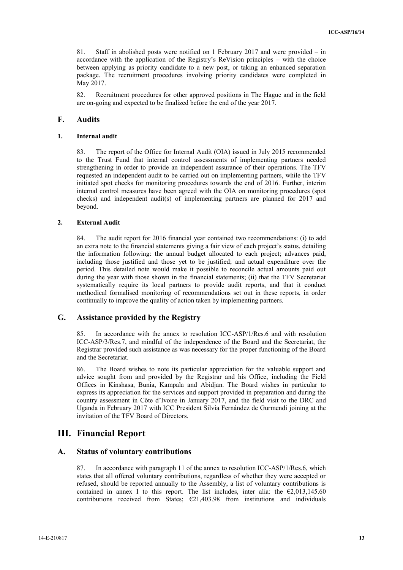81. Staff in abolished posts were notified on 1 February 2017 and were provided – in accordance with the application of the Registry's ReVision principles – with the choice between applying as priority candidate to a new post, or taking an enhanced separation package. The recruitment procedures involving priority candidates were completed in May 2017.

82. Recruitment procedures for other approved positions in The Hague and in the field are on-going and expected to be finalized before the end of the year 2017.

## **F. Audits**

#### **1. Internal audit**

83. The report of the Office for Internal Audit (OIA) issued in July 2015 recommended to the Trust Fund that internal control assessments of implementing partners needed strengthening in order to provide an independent assurance of their operations. The TFV requested an independent audit to be carried out on implementing partners, while the TFV initiated spot checks for monitoring procedures towards the end of 2016. Further, interim internal control measures have been agreed with the OIA on monitoring procedures (spot checks) and independent audit(s) of implementing partners are planned for 2017 and beyond.

#### **2. External Audit**

84. The audit report for 2016 financial year contained two recommendations: (i) to add an extra note to the financial statements giving a fair view of each project's status, detailing the information following: the annual budget allocated to each project; advances paid, including those justified and those yet to be justified; and actual expenditure over the period. This detailed note would make it possible to reconcile actual amounts paid out during the year with those shown in the financial statements; (ii) that the TFV Secretariat systematically require its local partners to provide audit reports, and that it conduct methodical formalised monitoring of recommendations set out in these reports, in order continually to improve the quality of action taken by implementing partners.

## **G. Assistance provided by the Registry**

85. In accordance with the annex to resolution ICC-ASP/1/Res.6 and with resolution ICC-ASP/3/Res.7, and mindful of the independence of the Board and the Secretariat, the Registrar provided such assistance as was necessary for the proper functioning of the Board and the Secretariat.

86. The Board wishes to note its particular appreciation for the valuable support and advice sought from and provided by the Registrar and his Office, including the Field Offices in Kinshasa, Bunia, Kampala and Abidjan. The Board wishes in particular to express its appreciation for the services and support provided in preparation and during the country assessment in Côte d'Ivoire in January 2017, and the field visit to the DRC and Uganda in February 2017 with ICC President Silvia Fernández de Gurmendi joining at the invitation of the TFV Board of Directors.

## **III. Financial Report**

#### **A. Status of voluntary contributions**

87. In accordance with paragraph 11 of the annex to resolution ICC-ASP/1/Res.6, which states that all offered voluntary contributions, regardless of whether they were accepted or refused, should be reported annually to the Assembly, a list of voluntary contributions is contained in annex I to this report. The list includes, inter alia: the  $\epsilon$ 2,013,145.60 contributions received from States;  $E21,403.98$  from institutions and individuals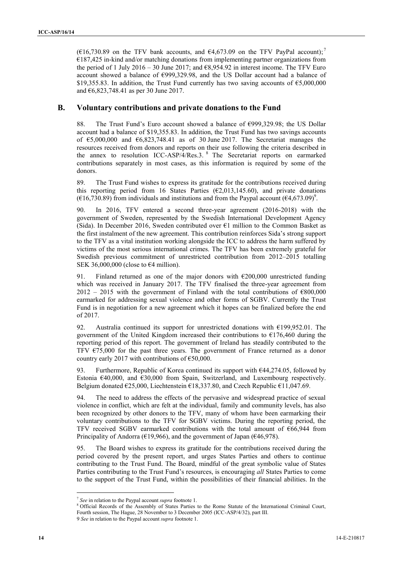( $\epsilon$ 16,730.89 on the TFV bank accounts, and  $\epsilon$ 4,673.09 on the TFV PayPal account);<sup>7</sup> €187,425 in-kind and/or matching donations from implementing partner organizations from the period of 1 July 2016 – 30 June 2017; and  $\epsilon$ 8,954.92 in interest income. The TFV Euro account showed a balance of €999,329.98, and the US Dollar account had a balance of \$19,355.83. In addition, the Trust Fund currently has two saving accounts of  $\epsilon$ 5,000,000 and €6,823,748.41 as per 30 June 2017.

## **B. Voluntary contributions and private donations to the Fund**

88. The Trust Fund's Euro account showed a balance of €999,329.98; the US Dollar account had a balance of \$19,355.83. In addition, the Trust Fund has two savings accounts of  $\epsilon$ 5,000,000 and  $\epsilon$ 6,823,748.41 as of 30 June 2017. The Secretariat manages the resources received from donors and reports on their use following the criteria described in the annex to resolution ICC-ASP/4/Res.3. <sup>8</sup> The Secretariat reports on earmarked contributions separately in most cases, as this information is required by some of the donors.

89. The Trust Fund wishes to express its gratitude for the contributions received during this reporting period from 16 States Parties ( $\epsilon$ 2,013,145.60), and private donations ( $\epsilon$ 16,730.89) from individuals and institutions and from the Paypal account ( $\epsilon$ 4,673.09)<sup>9</sup>.

90. In 2016, TFV entered a second three-year agreement (2016-2018) with the government of Sweden, represented by the Swedish International Development Agency (Sida). In December 2016, Sweden contributed over  $\epsilon$ 1 million to the Common Basket as the first instalment of the new agreement. This contribution reinforces Sida's strong support to the TFV as a vital institution working alongside the ICC to address the harm suffered by victims of the most serious international crimes. The TFV has been extremely grateful for Swedish previous commitment of unrestricted contribution from 2012–2015 totalling SEK 36,000,000 (close to  $\epsilon$ 4 million).

91. Finland returned as one of the major donors with  $\epsilon$ 200,000 unrestricted funding which was received in January 2017. The TFV finalised the three-year agreement from  $2012 - 2015$  with the government of Finland with the total contributions of  $\epsilon$ 800,000 earmarked for addressing sexual violence and other forms of SGBV. Currently the Trust Fund is in negotiation for a new agreement which it hopes can be finalized before the end of 2017.

92. Australia continued its support for unrestricted donations with  $£199,952.01$ . The government of the United Kingdom increased their contributions to  $E176,460$  during the reporting period of this report. The government of Ireland has steadily contributed to the TFV  $\epsilon$ 75,000 for the past three years. The government of France returned as a donor country early 2017 with contributions of €50,000.

93. Furthermore, Republic of Korea continued its support with  $\epsilon$ 44,274.05, followed by Estonia  $\epsilon$ 40,000, and  $\epsilon$ 30,000 from Spain, Switzerland, and Luxembourg respectively. Belgium donated  $\epsilon$ 25,000, Liechtenstein  $\epsilon$ 18,337.80, and Czech Republic  $\epsilon$ 11,047.69.

94. The need to address the effects of the pervasive and widespread practice of sexual violence in conflict, which are felt at the individual, family and community levels, has also been recognized by other donors to the TFV, many of whom have been earmarking their voluntary contributions to the TFV for SGBV victims. During the reporting period, the TFV received SGBV earmarked contributions with the total amount of €66,944 from Principality of Andorra ( $\epsilon$ 19,966), and the government of Japan ( $\epsilon$ 46,978).

95. The Board wishes to express its gratitude for the contributions received during the period covered by the present report, and urges States Parties and others to continue contributing to the Trust Fund. The Board, mindful of the great symbolic value of States Parties contributing to the Trust Fund's resources, is encouraging *all* States Parties to come to the support of the Trust Fund, within the possibilities of their financial abilities. In the

<sup>7</sup> *See* in relation to the Paypal account *supra* footnote 1.

<sup>&</sup>lt;sup>8</sup> Official Records of the Assembly of States Parties to the Rome Statute of the International Criminal Court, Fourth session, The Hague, 28 November to 3 December 2005 (ICC-ASP/4/32), part III.

<sup>9</sup> *See* in relation to the Paypal account *supra* footnote 1.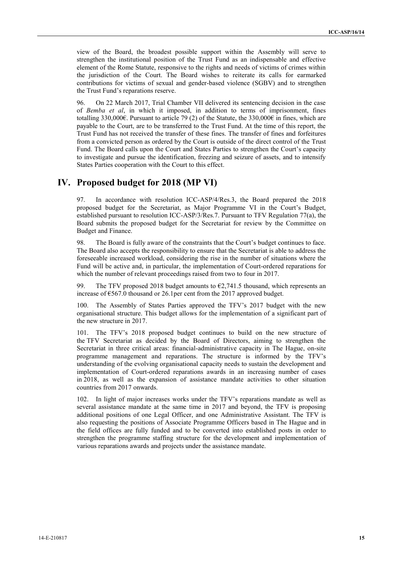view of the Board, the broadest possible support within the Assembly will serve to strengthen the institutional position of the Trust Fund as an indispensable and effective element of the Rome Statute, responsive to the rights and needs of victims of crimes within the jurisdiction of the Court. The Board wishes to reiterate its calls for earmarked contributions for victims of sexual and gender-based violence (SGBV) and to strengthen the Trust Fund's reparations reserve.

96. On 22 March 2017, Trial Chamber VII delivered its sentencing decision in the case of *Bemba et al*, in which it imposed, in addition to terms of imprisonment, fines totalling 330,000€. Pursuant to article 79 (2) of the Statute, the 330,000€ in fines, which are payable to the Court, are to be transferred to the Trust Fund. At the time of this report, the Trust Fund has not received the transfer of these fines. The transfer of fines and forfeitures from a convicted person as ordered by the Court is outside of the direct control of the Trust Fund. The Board calls upon the Court and States Parties to strengthen the Court's capacity to investigate and pursue the identification, freezing and seizure of assets, and to intensify States Parties cooperation with the Court to this effect.

## **IV. Proposed budget for 2018 (MP VI)**

97. In accordance with resolution ICC-ASP/4/Res.3, the Board prepared the 2018 proposed budget for the Secretariat, as Major Programme VI in the Court's Budget, established pursuant to resolution ICC-ASP/3/Res.7. Pursuant to TFV Regulation 77(a), the Board submits the proposed budget for the Secretariat for review by the Committee on Budget and Finance.

98. The Board is fully aware of the constraints that the Court's budget continues to face. The Board also accepts the responsibility to ensure that the Secretariat is able to address the foreseeable increased workload, considering the rise in the number of situations where the Fund will be active and, in particular, the implementation of Court-ordered reparations for which the number of relevant proceedings raised from two to four in 2017.

99. The TFV proposed 2018 budget amounts to  $\epsilon$ 2,741.5 thousand, which represents an increase of  $\epsilon$ 567.0 thousand or 26.1per cent from the 2017 approved budget.

100. The Assembly of States Parties approved the TFV's 2017 budget with the new organisational structure. This budget allows for the implementation of a significant part of the new structure in 2017.

101. The TFV's 2018 proposed budget continues to build on the new structure of the TFV Secretariat as decided by the Board of Directors, aiming to strengthen the Secretariat in three critical areas: financial-administrative capacity in The Hague, on-site programme management and reparations. The structure is informed by the TFV's understanding of the evolving organisational capacity needs to sustain the development and implementation of Court-ordered reparations awards in an increasing number of cases in 2018, as well as the expansion of assistance mandate activities to other situation countries from 2017 onwards.

102. In light of major increases works under the TFV's reparations mandate as well as several assistance mandate at the same time in 2017 and beyond, the TFV is proposing additional positions of one Legal Officer, and one Administrative Assistant. The TFV is also requesting the positions of Associate Programme Officers based in The Hague and in the field offices are fully funded and to be converted into established posts in order to strengthen the programme staffing structure for the development and implementation of various reparations awards and projects under the assistance mandate.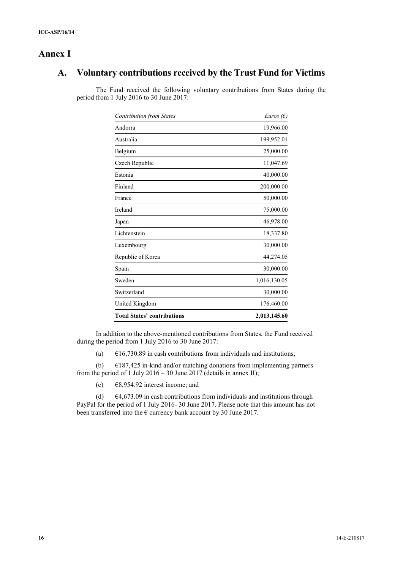# **Annex I**

# **A. Voluntary contributions received by the Trust Fund for Victims**

The Fund received the following voluntary contributions from States during the period from 1 July 2016 to 30 June 2017:

| <b>Contribution from States</b>    | Euros $(E)$  |
|------------------------------------|--------------|
| Andorra                            | 19,966.00    |
| Australia                          | 199,952.01   |
| Belgium                            | 25,000.00    |
| Czech Republic                     | 11,047.69    |
| Estonia                            | 40,000.00    |
| Finland                            | 200,000.00   |
| France                             | 50,000.00    |
| Ireland                            | 75,000.00    |
| Japan                              | 46,978.00    |
| Lichtenstein                       | 18,337.80    |
| Luxembourg                         | 30,000.00    |
| Republic of Korea                  | 44,274.05    |
| Spain                              | 30,000.00    |
| Sweden                             | 1,016,130.05 |
| Switzerland                        | 30,000.00    |
| United Kingdom                     | 176,460.00   |
| <b>Total States' contributions</b> | 2,013,145.60 |

In addition to the above-mentioned contributions from States, the Fund received during the period from 1 July 2016 to 30 June 2017:

(a)  $\epsilon$ 16,730.89 in cash contributions from individuals and institutions;

(b)  $\epsilon$ 187,425 in-kind and/or matching donations from implementing partners from the period of 1 July 2016 – 30 June 2017 (details in annex II);

(c)  $\epsilon$ 8,954.92 interest income; and

(d)  $\epsilon$ 4,673.09 in cash contributions from individuals and institutions through PayPal for the period of 1 July 2016- 30 June 2017. Please note that this amount has not been transferred into the  $\epsilon$  currency bank account by 30 June 2017.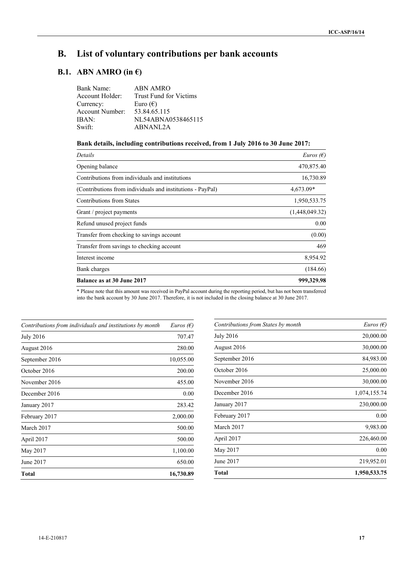# **B. List of voluntary contributions per bank accounts**

# **B.1. ABN AMRO** (in  $\epsilon$ )

| ABN AMRO                      |
|-------------------------------|
| <b>Trust Fund for Victims</b> |
| Euro $(\epsilon)$             |
| 53.84.65.115                  |
| NL54ABNA0538465115            |
| ABNANL2A                      |
|                               |

## **Bank details, including contributions received, from 1 July 2016 to 30 June 2017:**

| Details                                                    | Euros $(E)$    |
|------------------------------------------------------------|----------------|
| Opening balance                                            | 470,875.40     |
| Contributions from individuals and institutions            | 16,730.89      |
| (Contributions from individuals and institutions - PayPal) | 4,673.09*      |
| <b>Contributions from States</b>                           | 1,950,533.75   |
| Grant / project payments                                   | (1,448,049.32) |
| Refund unused project funds                                | 0.00           |
| Transfer from checking to savings account                  | (0.00)         |
| Transfer from savings to checking account                  | 469            |
| Interest income                                            | 8,954.92       |
| Bank charges                                               | (184.66)       |
| Balance as at 30 June 2017                                 | 999,329.98     |

\* Please note that this amount was received in PayPal account during the reporting period, but has not been transferred into the bank account by 30 June 2017. Therefore, it is not included in the closing balance at 30 June 2017.

| Contributions from individuals and institutions by month | <i>Euros</i> ( $\epsilon$ ) |
|----------------------------------------------------------|-----------------------------|
| <b>July 2016</b>                                         | 707.47                      |
| August 2016                                              | 280.00                      |
| September 2016                                           | 10,055.00                   |
| October 2016                                             | 200.00                      |
| November 2016                                            | 455.00                      |
| December 2016                                            | 0.00                        |
| January 2017                                             | 283.42                      |
| February 2017                                            | 2,000.00                    |
| March 2017                                               | 500.00                      |
| April 2017                                               | 500.00                      |
| May 2017                                                 | 1,100.00                    |
| June 2017                                                | 650.00                      |
| <b>Total</b>                                             | 16,730.89                   |

| Contributions from States by month | <i>Euros</i> ( $\epsilon$ ) |
|------------------------------------|-----------------------------|
| <b>July 2016</b>                   | 20,000.00                   |
| August 2016                        | 30,000.00                   |
| September 2016                     | 84,983.00                   |
| October 2016                       | 25,000.00                   |
| November 2016                      | 30,000.00                   |
| December 2016                      | 1,074,155.74                |
| January 2017                       | 230,000.00                  |
| February 2017                      | 0.00                        |
| March 2017                         | 9,983.00                    |
| April 2017                         | 226,460.00                  |
| May 2017                           | 0.00                        |
| June 2017                          | 219,952.01                  |
| Total                              | 1,950,533.75                |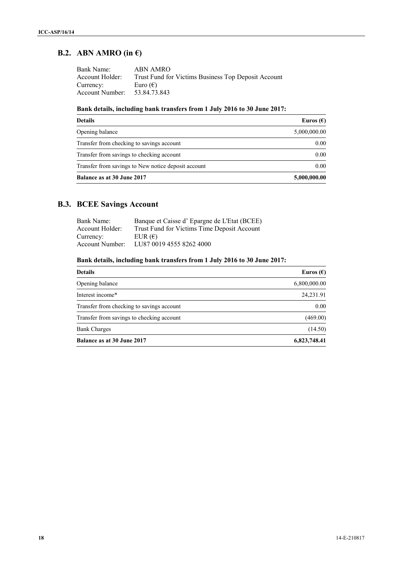# **B.2. ABN AMRO (in €)**

| Bank Name:      | ABN AMRO                                            |
|-----------------|-----------------------------------------------------|
| Account Holder: | Trust Fund for Victims Business Top Deposit Account |
| Currency:       | Euro $(\epsilon)$                                   |
| Account Number: | 53.84.73.843                                        |

## **Bank details, including bank transfers from 1 July 2016 to 30 June 2017:**

| <b>Details</b>                                      | Euros $(\epsilon)$ |
|-----------------------------------------------------|--------------------|
| Opening balance                                     | 5,000,000.00       |
| Transfer from checking to savings account           | 0.00               |
| Transfer from savings to checking account           | 0.00               |
| Transfer from savings to New notice deposit account | 0.00               |
| Balance as at 30 June 2017                          | 5,000,000.00       |

# **B.3. BCEE Savings Account**

| Bank Name:      | Banque et Caisse d'Epargne de L'Etat (BCEE) |
|-----------------|---------------------------------------------|
| Account Holder: | Trust Fund for Victims Time Deposit Account |
| Currency:       | EUR $(\epsilon)$                            |
| Account Number: | LU87 0019 4555 8262 4000                    |

## **Bank details, including bank transfers from 1 July 2016 to 30 June 2017:**

| <b>Details</b>                            | Euros $(\epsilon)$ |
|-------------------------------------------|--------------------|
| Opening balance                           | 6,800,000.00       |
| Interest income*                          | 24,231.91          |
| Transfer from checking to savings account | 0.00               |
| Transfer from savings to checking account | (469.00)           |
| <b>Bank Charges</b>                       | (14.50)            |
| <b>Balance as at 30 June 2017</b>         | 6,823,748.41       |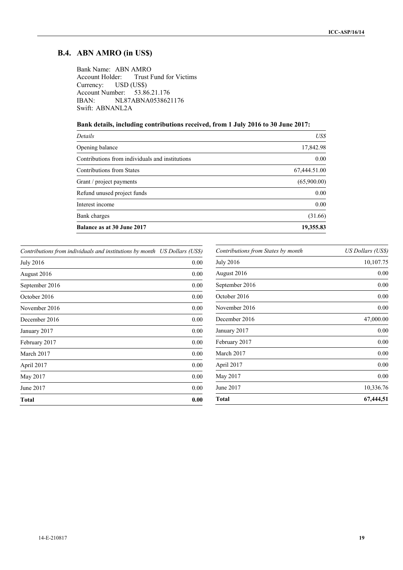# **B.4. ABN AMRO (in US\$)**

Bank Name: ABN AMRO Trust Fund for Victims Currency: USD (US\$)<br>Account Number: 53.86.21.176 Account Number:<br>IBAN: NL8 NL87ABNA0538621176 Swift: ABNANL2A

**Bank details, including contributions received, from 1 July 2016 to 30 June 2017:**

| Details                                         | US\$         |
|-------------------------------------------------|--------------|
| Opening balance                                 | 17,842.98    |
| Contributions from individuals and institutions | 0.00         |
| <b>Contributions from States</b>                | 67,444.51.00 |
| Grant / project payments                        | (65,900.00)  |
| Refund unused project funds                     | 0.00         |
| Interest income                                 | 0.00         |
| Bank charges                                    | (31.66)      |
| Balance as at 30 June 2017                      | 19,355.83    |
|                                                 |              |

*Contributions from individuals and institutions by month US Dollars (US\$)*

| Total            | 0.00 |
|------------------|------|
| June 2017        | 0.00 |
| May 2017         | 0.00 |
| April 2017       | 0.00 |
| March 2017       | 0.00 |
| February 2017    | 0.00 |
| January 2017     | 0.00 |
| December 2016    | 0.00 |
| November 2016    | 0.00 |
| October 2016     | 0.00 |
| September 2016   | 0.00 |
| August 2016      | 0.00 |
| <b>July 2016</b> | 0.00 |

| US Dollars (US\$) |
|-------------------|
| 10,107.75         |
| 0.00              |
| 0.00              |
| 0.00              |
| 0.00              |
| 47,000.00         |
| 0.00              |
| 0.00              |
| 0.00              |
| 0.00              |
| 0.00              |
| 10,336.76         |
| 67,444,51         |
|                   |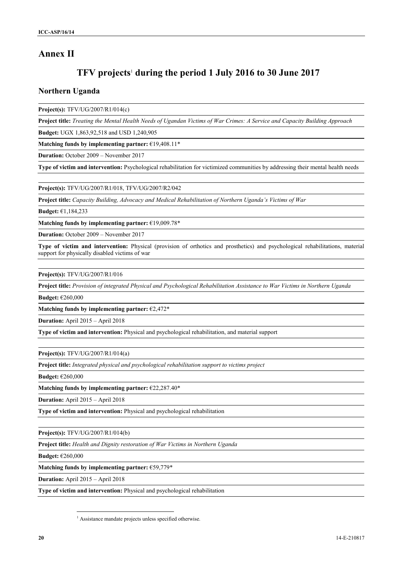# **Annex II**

# **TFV projects**<sup>1</sup> **during the period 1 July 2016 to 30 June 2017**

## **Northern Uganda**

**Project(s):** TFV/UG/2007/R1/014(c)

**Project title:** *Treating the Mental Health Needs of Ugandan Victims of War Crimes: A Service and Capacity Building Approach*

**Budget:** UGX 1,863,92,518 and USD 1,240,905

**Matching funds by implementing partner:** €19,408.11\*

**Duration:** October 2009 – November 2017

**Type of victim and intervention:** Psychological rehabilitation for victimized communities by addressing their mental health needs

**Project(s):** TFV/UG/2007/R1/018, TFV/UG/2007/R2/042

**Project title:** *Capacity Building, Advocacy and Medical Rehabilitation of Northern Uganda's Victims of War*

**Budget:** €1,184,233

**Matching funds by implementing partner:** €19,009.78\*

**Duration:** October 2009 – November 2017

**Type of victim and intervention:** Physical (provision of orthotics and prosthetics) and psychological rehabilitations, material support for physically disabled victims of war

**Project(s):** TFV/UG/2007/R1/016

**Project title:** *Provision of integrated Physical and Psychological Rehabilitation Assistance to War Victims in Northern Uganda*

**Budget:** €260,000

**Matching funds by implementing partner:** €2,472\*

**Duration:** April 2015 – April 2018

**Type of victim and intervention:** Physical and psychological rehabilitation, and material support

**Project(s):** TFV/UG/2007/R1/014(a)

**Project title:** *Integrated physical and psychological rehabilitation support to victims project*

**Budget:** €260,000

**Matching funds by implementing partner:** €22,287.40\*

**Duration:** April 2015 – April 2018

**Type of victim and intervention:** Physical and psychological rehabilitation

**Project(s):** TFV/UG/2007/R1/014(b)

**Project title:** *Health and Dignity restoration of War Victims in Northern Uganda*

**Budget:** €260,000

**Matching funds by implementing partner:** €59,779\*

**Duration:** April 2015 – April 2018

**Type of victim and intervention:** Physical and psychological rehabilitation

<sup>&</sup>lt;sup>1</sup> Assistance mandate projects unless specified otherwise.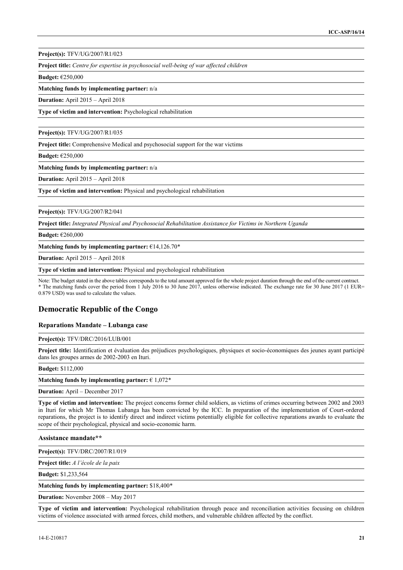**Project(s):** TFV/UG/2007/R1/023

**Project title:** *Centre for expertise in psychosocial well-being of war affected children*

**Budget:** €250,000

**Matching funds by implementing partner:** n/a

**Duration:** April 2015 – April 2018

**Type of victim and intervention:** Psychological rehabilitation

**Project(s):** TFV/UG/2007/R1/035

**Project title:** Comprehensive Medical and psychosocial support for the war victims

**Budget:** €250,000

**Matching funds by implementing partner:** n/a

**Duration:** April 2015 – April 2018

**Type of victim and intervention:** Physical and psychological rehabilitation

**Project(s):** TFV/UG/2007/R2/041

**Project title:** *Integrated Physical and Psychosocial Rehabilitation Assistance for Victims in Northern Uganda*

**Budget:** €260,000

**Matching funds by implementing partner:** €14,126.70\*

**Duration:** April 2015 – April 2018

**Type of victim and intervention:** Physical and psychological rehabilitation

Note: The budget stated in the above tables corresponds to the total amount approved for the whole project duration through the end of the current contract. \* The matching funds cover the period from 1 July 2016 to 30 June 2017, unless otherwise indicated. The exchange rate for 30 June 2017 (1 EUR= 0.879 USD) was used to calculate the values.

## **Democratic Republic of the Congo**

#### **Reparations Mandate – Lubanga case**

#### **Project(s):** TFV/DRC/2016/LUB/001

**Project title:** Identification et évaluation des préjudices psychologiques, physiques et socio-économiques des jeunes ayant participé dans les groupes armes de 2002-2003 en Ituri.

#### **Budget:** \$112,000

**Matching funds by implementing partner:** € 1,072\*

**Duration:** April – December 2017

**Type of victim and intervention:** The project concerns former child soldiers, as victims of crimes occurring between 2002 and 2003 in Ituri for which Mr Thomas Lubanga has been convicted by the ICC. In preparation of the implementation of Court-ordered reparations, the project is to identify direct and indirect victims potentially eligible for collective reparations awards to evaluate the scope of their psychological, physical and socio-economic harm.

**Assistance mandate\*\***

**Project(s):** TFV/DRC/2007/R1/019

**Project title:** *A l'école de la paix*

**Budget:** \$1,233,564

**Matching funds by implementing partner:** \$18,400\*

**Duration:** November 2008 – May 2017

**Type of victim and intervention:** Psychological rehabilitation through peace and reconciliation activities focusing on children victims of violence associated with armed forces, child mothers, and vulnerable children affected by the conflict.